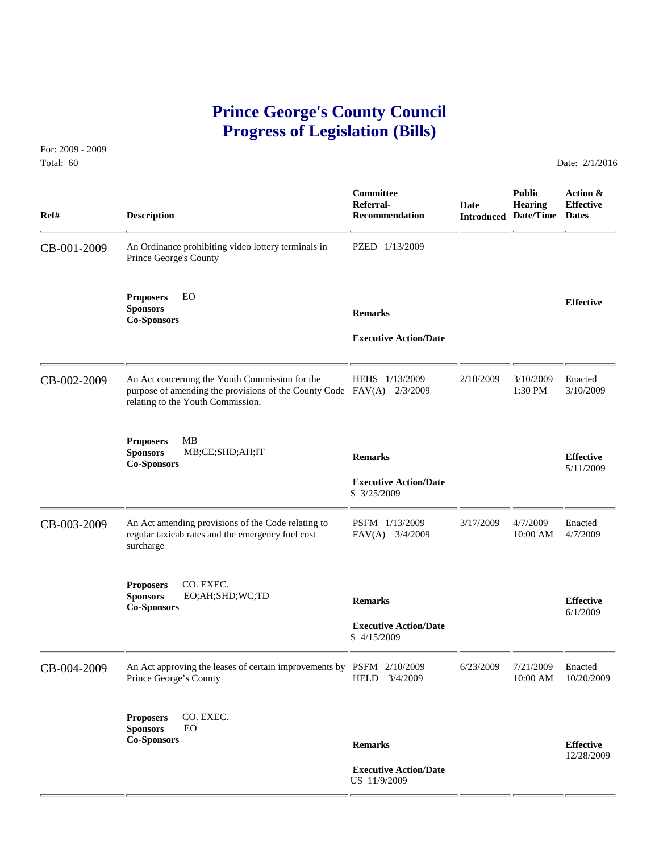## **Prince George's County Council Progress of Legislation (Bills)**

For: 2009 - 2009 Total: 60 Date: 2/1/2016

| Ref#        | <b>Description</b>                                                                                                                                  | Committee<br>Referral-<br><b>Recommendation</b>                | <b>Date</b> | <b>Public</b><br><b>Hearing</b><br><b>Introduced Date/Time Dates</b> | Action &<br><b>Effective</b>   |
|-------------|-----------------------------------------------------------------------------------------------------------------------------------------------------|----------------------------------------------------------------|-------------|----------------------------------------------------------------------|--------------------------------|
| CB-001-2009 | An Ordinance prohibiting video lottery terminals in<br>Prince George's County                                                                       | PZED 1/13/2009                                                 |             |                                                                      |                                |
|             | EO<br><b>Proposers</b><br><b>Sponsors</b><br><b>Co-Sponsors</b>                                                                                     | <b>Remarks</b><br><b>Executive Action/Date</b>                 |             |                                                                      | <b>Effective</b>               |
| CB-002-2009 | An Act concerning the Youth Commission for the<br>purpose of amending the provisions of the County Code FAV(A)<br>relating to the Youth Commission. | HEHS 1/13/2009<br>2/3/2009                                     | 2/10/2009   | 3/10/2009<br>1:30 PM                                                 | Enacted<br>3/10/2009           |
|             | <b>Proposers</b><br><b>MB</b><br><b>Sponsors</b><br>MB;CE;SHD;AH;IT<br><b>Co-Sponsors</b>                                                           | <b>Remarks</b><br><b>Executive Action/Date</b><br>S 3/25/2009  |             |                                                                      | <b>Effective</b><br>5/11/2009  |
| CB-003-2009 | An Act amending provisions of the Code relating to<br>regular taxicab rates and the emergency fuel cost<br>surcharge                                | PSFM 1/13/2009<br>FAV(A) 3/4/2009                              | 3/17/2009   | 4/7/2009<br>10:00 AM                                                 | Enacted<br>4/7/2009            |
|             | CO. EXEC.<br><b>Proposers</b><br><b>Sponsors</b><br>EO;AH;SHD;WC;TD<br><b>Co-Sponsors</b>                                                           | <b>Remarks</b><br><b>Executive Action/Date</b><br>S 4/15/2009  |             |                                                                      | <b>Effective</b><br>6/1/2009   |
| CB-004-2009 | An Act approving the leases of certain improvements by PSFM 2/10/2009<br>Prince George's County                                                     | HELD 3/4/2009                                                  | 6/23/2009   | 7/21/2009<br>10:00 AM                                                | Enacted<br>10/20/2009          |
|             | CO. EXEC.<br><b>Proposers</b><br><b>Sponsors</b><br>EO<br><b>Co-Sponsors</b>                                                                        | <b>Remarks</b><br><b>Executive Action/Date</b><br>US 11/9/2009 |             |                                                                      | <b>Effective</b><br>12/28/2009 |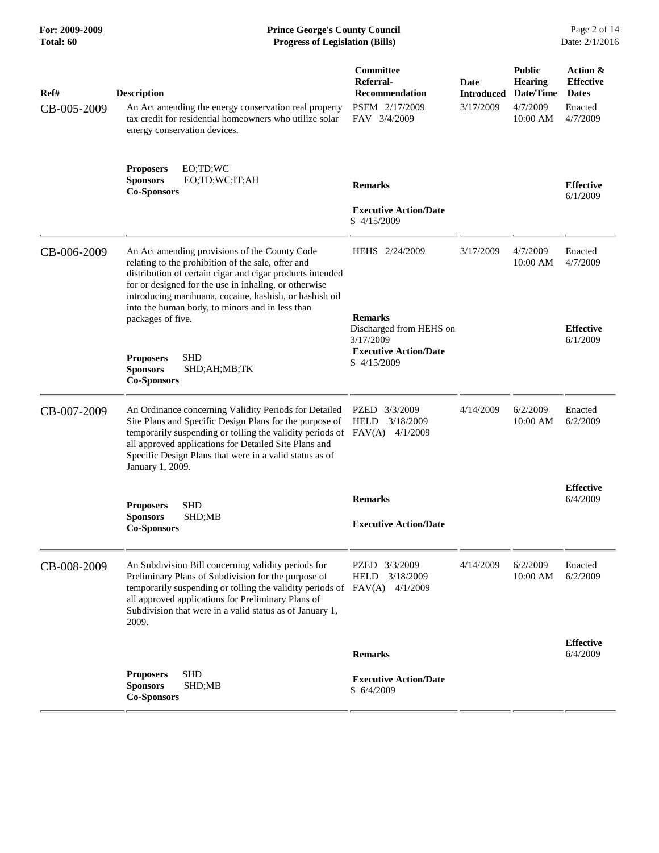| For: 2009-2009<br>Total: 60 | <b>Prince George's County Council</b><br>Date: 2/1/2016<br><b>Progress of Legislation (Bills)</b>                                                                                                                                                                                                                                                            |                                                        |                           |                                              |                                              |
|-----------------------------|--------------------------------------------------------------------------------------------------------------------------------------------------------------------------------------------------------------------------------------------------------------------------------------------------------------------------------------------------------------|--------------------------------------------------------|---------------------------|----------------------------------------------|----------------------------------------------|
| Ref#                        | <b>Description</b>                                                                                                                                                                                                                                                                                                                                           | <b>Committee</b><br>Referral-<br><b>Recommendation</b> | Date<br><b>Introduced</b> | <b>Public</b><br><b>Hearing</b><br>Date/Time | Action &<br><b>Effective</b><br><b>Dates</b> |
| CB-005-2009                 | An Act amending the energy conservation real property<br>tax credit for residential homeowners who utilize solar<br>energy conservation devices.                                                                                                                                                                                                             | PSFM 2/17/2009<br>FAV 3/4/2009                         | 3/17/2009                 | 4/7/2009<br>10:00 AM                         | Enacted<br>4/7/2009                          |
|                             | <b>Proposers</b><br>EO;TD;WC<br><b>Sponsors</b><br>EO;TD;WC;IT;AH<br><b>Co-Sponsors</b>                                                                                                                                                                                                                                                                      | <b>Remarks</b>                                         |                           |                                              | <b>Effective</b><br>6/1/2009                 |
|                             |                                                                                                                                                                                                                                                                                                                                                              | <b>Executive Action/Date</b><br>S 4/15/2009            |                           |                                              |                                              |
| CB-006-2009                 | An Act amending provisions of the County Code<br>relating to the prohibition of the sale, offer and<br>distribution of certain cigar and cigar products intended<br>for or designed for the use in inhaling, or otherwise<br>introducing marihuana, cocaine, hashish, or hashish oil<br>into the human body, to minors and in less than<br>packages of five. | HEHS 2/24/2009<br><b>Remarks</b>                       | 3/17/2009                 | 4/7/2009<br>10:00 AM                         | Enacted<br>4/7/2009                          |
|                             |                                                                                                                                                                                                                                                                                                                                                              | Discharged from HEHS on<br>3/17/2009                   |                           |                                              | <b>Effective</b><br>6/1/2009                 |
|                             | <b>SHD</b><br><b>Proposers</b><br><b>Sponsors</b><br>SHD;AH;MB;TK<br><b>Co-Sponsors</b>                                                                                                                                                                                                                                                                      | <b>Executive Action/Date</b><br>S 4/15/2009            |                           |                                              |                                              |
| CB-007-2009                 | An Ordinance concerning Validity Periods for Detailed<br>Site Plans and Specific Design Plans for the purpose of<br>temporarily suspending or tolling the validity periods of FAV(A) 4/1/2009<br>all approved applications for Detailed Site Plans and<br>Specific Design Plans that were in a valid status as of<br>January 1, 2009.                        | PZED<br>3/3/2009<br><b>HELD</b><br>3/18/2009           | 4/14/2009                 | 6/2/2009<br>10:00 AM                         | Enacted<br>6/2/2009                          |
|                             |                                                                                                                                                                                                                                                                                                                                                              | <b>Remarks</b>                                         |                           |                                              | <b>Effective</b><br>6/4/2009                 |
|                             | <b>SHD</b><br><b>Proposers</b><br>SHD;MB<br><b>Sponsors</b><br><b>Co-Sponsors</b>                                                                                                                                                                                                                                                                            | <b>Executive Action/Date</b>                           |                           |                                              |                                              |
| CB-008-2009                 | An Subdivision Bill concerning validity periods for<br>Preliminary Plans of Subdivision for the purpose of<br>temporarily suspending or tolling the validity periods of FAV(A) 4/1/2009<br>all approved applications for Preliminary Plans of<br>Subdivision that were in a valid status as of January 1,<br>2009.                                           | PZED<br>3/3/2009<br>3/18/2009<br><b>HELD</b>           | 4/14/2009                 | 6/2/2009<br>10:00 AM                         | Enacted<br>6/2/2009                          |
|                             |                                                                                                                                                                                                                                                                                                                                                              | <b>Remarks</b>                                         |                           |                                              | <b>Effective</b><br>6/4/2009                 |
|                             | <b>SHD</b><br><b>Proposers</b><br><b>Sponsors</b><br>SHD;MB<br><b>Co-Sponsors</b>                                                                                                                                                                                                                                                                            | <b>Executive Action/Date</b><br>S 6/4/2009             |                           |                                              |                                              |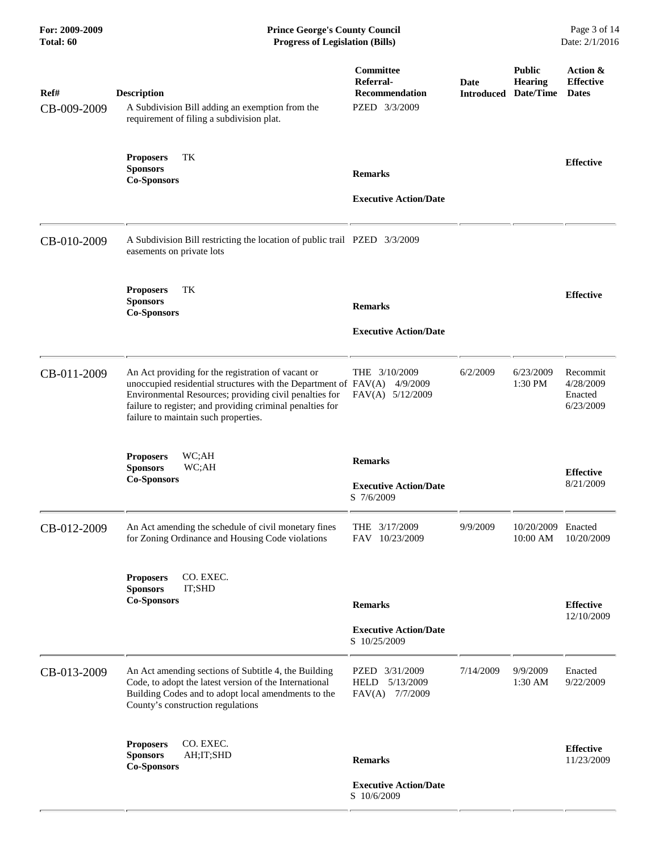**For: 2009-2009 Prince George's County Council** Page 3 of 14<br> **Prince George's County Council** Page 3 of 14<br> **Progress of Legislation (Bills)** Date: 2/1/2016 **Total: 60 Progress of Legislation (Bills)** 

| Ref#<br>CB-009-2009 | <b>Description</b><br>A Subdivision Bill adding an exemption from the<br>requirement of filing a subdivision plat.                                                                                                                                                                   | Committee<br>Referral-<br><b>Recommendation</b><br>PZED 3/3/2009 | Date<br>Introduced | <b>Public</b><br><b>Hearing</b><br>Date/Time | Action &<br><b>Effective</b><br><b>Dates</b>  |
|---------------------|--------------------------------------------------------------------------------------------------------------------------------------------------------------------------------------------------------------------------------------------------------------------------------------|------------------------------------------------------------------|--------------------|----------------------------------------------|-----------------------------------------------|
|                     | TK<br><b>Proposers</b><br><b>Sponsors</b><br><b>Co-Sponsors</b>                                                                                                                                                                                                                      | <b>Remarks</b><br><b>Executive Action/Date</b>                   |                    |                                              | <b>Effective</b>                              |
| CB-010-2009         | A Subdivision Bill restricting the location of public trail PZED 3/3/2009<br>easements on private lots                                                                                                                                                                               |                                                                  |                    |                                              |                                               |
|                     | TK<br><b>Proposers</b><br><b>Sponsors</b><br><b>Co-Sponsors</b>                                                                                                                                                                                                                      | <b>Remarks</b><br><b>Executive Action/Date</b>                   |                    |                                              | <b>Effective</b>                              |
| CB-011-2009         | An Act providing for the registration of vacant or<br>unoccupied residential structures with the Department of FAV(A)<br>Environmental Resources; providing civil penalties for<br>failure to register; and providing criminal penalties for<br>failure to maintain such properties. | THE 3/10/2009<br>4/9/2009<br>FAV(A) 5/12/2009                    | 6/2/2009           | 6/23/2009<br>1:30 PM                         | Recommit<br>4/28/2009<br>Enacted<br>6/23/2009 |
|                     | <b>Proposers</b><br>WC;AH<br>WC;AH<br><b>Sponsors</b><br><b>Co-Sponsors</b>                                                                                                                                                                                                          | <b>Remarks</b><br><b>Executive Action/Date</b><br>S 7/6/2009     |                    |                                              | <b>Effective</b><br>8/21/2009                 |
| CB-012-2009         | An Act amending the schedule of civil monetary fines<br>for Zoning Ordinance and Housing Code violations                                                                                                                                                                             | THE 3/17/2009<br>FAV 10/23/2009                                  | 9/9/2009           | 10/20/2009<br>10:00 AM                       | Enacted<br>10/20/2009                         |
|                     | CO. EXEC.<br><b>Proposers</b><br><b>Sponsors</b><br>IT;SHD<br><b>Co-Sponsors</b>                                                                                                                                                                                                     | <b>Remarks</b><br><b>Executive Action/Date</b><br>S 10/25/2009   |                    |                                              | <b>Effective</b><br>12/10/2009                |
| CB-013-2009         | An Act amending sections of Subtitle 4, the Building<br>Code, to adopt the latest version of the International<br>Building Codes and to adopt local amendments to the<br>County's construction regulations                                                                           | PZED 3/31/2009<br>5/13/2009<br>HELD<br>FAV(A) 7/7/2009           | 7/14/2009          | 9/9/2009<br>$1:30$ AM                        | Enacted<br>9/22/2009                          |
|                     | CO. EXEC.<br><b>Proposers</b><br>AH; IT; SHD<br><b>Sponsors</b><br><b>Co-Sponsors</b>                                                                                                                                                                                                | <b>Remarks</b><br><b>Executive Action/Date</b><br>S 10/6/2009    |                    |                                              | <b>Effective</b><br>11/23/2009                |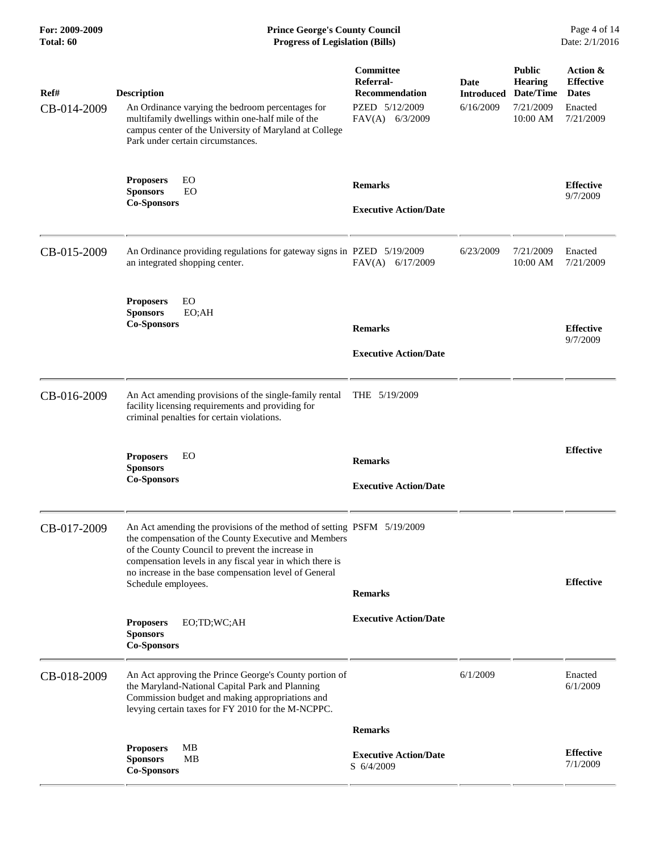## **For: 2009-2009 Prince George's County Council** Page 4 of 14<br> **Prince George's County Council** Page 4 of 14<br> **Progress of Legislation (Bills)** Date: 2/1/2016 **Total: 60 Progress of Legislation (Bills)**

| Ref#<br>CB-014-2009 | <b>Description</b><br>An Ordinance varying the bedroom percentages for<br>multifamily dwellings within one-half mile of the<br>campus center of the University of Maryland at College<br>Park under certain circumstances.                                                                                                     | Committee<br>Referral-<br><b>Recommendation</b><br>PZED 5/12/2009<br>FAV(A) 6/3/2009 | <b>Date</b><br><b>Introduced</b><br>6/16/2009 | <b>Public</b><br><b>Hearing</b><br>Date/Time<br>7/21/2009<br>10:00 AM | Action &<br><b>Effective</b><br><b>Dates</b><br>Enacted<br>7/21/2009 |
|---------------------|--------------------------------------------------------------------------------------------------------------------------------------------------------------------------------------------------------------------------------------------------------------------------------------------------------------------------------|--------------------------------------------------------------------------------------|-----------------------------------------------|-----------------------------------------------------------------------|----------------------------------------------------------------------|
|                     | EO<br><b>Proposers</b><br><b>Sponsors</b><br>EO<br><b>Co-Sponsors</b>                                                                                                                                                                                                                                                          | <b>Remarks</b><br><b>Executive Action/Date</b>                                       |                                               |                                                                       | <b>Effective</b><br>9/7/2009                                         |
| CB-015-2009         | An Ordinance providing regulations for gateway signs in PZED 5/19/2009<br>an integrated shopping center.                                                                                                                                                                                                                       | FAV(A) 6/17/2009                                                                     | 6/23/2009                                     | 7/21/2009<br>10:00 AM                                                 | Enacted<br>7/21/2009                                                 |
|                     | <b>Proposers</b><br>EO<br><b>Sponsors</b><br>EO;AH<br><b>Co-Sponsors</b>                                                                                                                                                                                                                                                       | <b>Remarks</b><br><b>Executive Action/Date</b>                                       |                                               |                                                                       | <b>Effective</b><br>9/7/2009                                         |
| CB-016-2009         | An Act amending provisions of the single-family rental<br>facility licensing requirements and providing for<br>criminal penalties for certain violations.                                                                                                                                                                      | THE 5/19/2009                                                                        |                                               |                                                                       |                                                                      |
|                     | <b>Proposers</b><br>EO<br><b>Sponsors</b><br><b>Co-Sponsors</b>                                                                                                                                                                                                                                                                | <b>Remarks</b><br><b>Executive Action/Date</b>                                       |                                               |                                                                       | <b>Effective</b>                                                     |
| CB-017-2009         | An Act amending the provisions of the method of setting PSFM 5/19/2009<br>the compensation of the County Executive and Members<br>of the County Council to prevent the increase in<br>compensation levels in any fiscal year in which there is<br>no increase in the base compensation level of General<br>Schedule employees. | <b>Remarks</b>                                                                       |                                               |                                                                       | <b>Effective</b>                                                     |
|                     | EO;TD;WC;AH<br><b>Proposers</b><br><b>Sponsors</b><br><b>Co-Sponsors</b>                                                                                                                                                                                                                                                       | <b>Executive Action/Date</b>                                                         |                                               |                                                                       |                                                                      |
| CB-018-2009         | An Act approving the Prince George's County portion of<br>the Maryland-National Capital Park and Planning<br>Commission budget and making appropriations and<br>levying certain taxes for FY 2010 for the M-NCPPC.                                                                                                             |                                                                                      | 6/1/2009                                      |                                                                       | Enacted<br>6/1/2009                                                  |
|                     |                                                                                                                                                                                                                                                                                                                                | <b>Remarks</b>                                                                       |                                               |                                                                       |                                                                      |
|                     | <b>Proposers</b><br>MB<br><b>Sponsors</b><br>MВ<br><b>Co-Sponsors</b>                                                                                                                                                                                                                                                          | <b>Executive Action/Date</b><br>S 6/4/2009                                           |                                               |                                                                       | <b>Effective</b><br>7/1/2009                                         |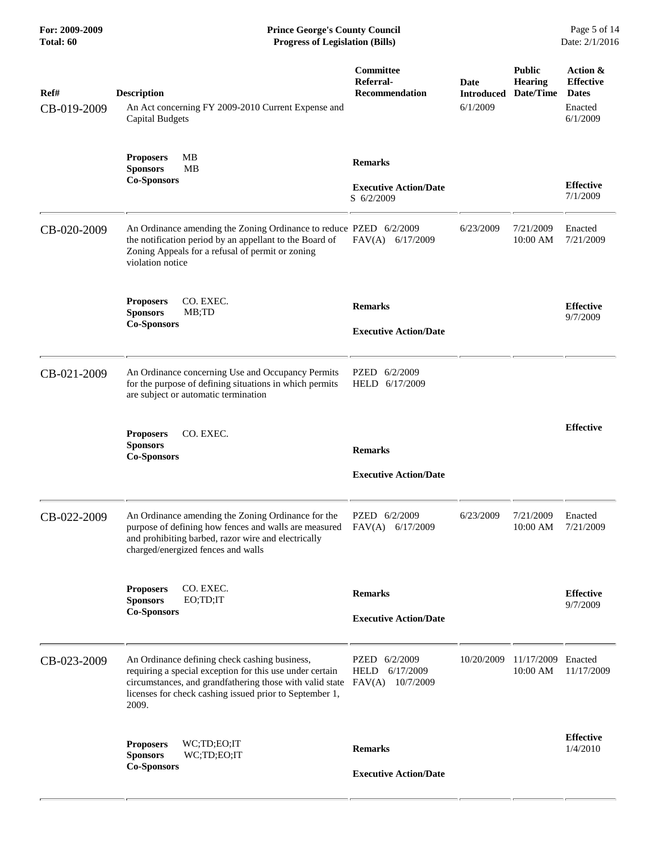| Ref#<br>CB-019-2009 | <b>Description</b><br><b>Capital Budgets</b>              | An Act concerning FY 2009-2010 Current Expense and                                                                                                                                                                               | Committee<br>Referral-<br><b>Recommendation</b>                  | <b>Date</b><br><b>Introduced</b><br>6/1/2009 | <b>Public</b><br><b>Hearing</b><br>Date/Time | Action &<br><b>Effective</b><br><b>Dates</b><br>Enacted<br>6/1/2009 |
|---------------------|-----------------------------------------------------------|----------------------------------------------------------------------------------------------------------------------------------------------------------------------------------------------------------------------------------|------------------------------------------------------------------|----------------------------------------------|----------------------------------------------|---------------------------------------------------------------------|
|                     | <b>Proposers</b><br><b>Sponsors</b><br><b>Co-Sponsors</b> | MB<br><b>MB</b>                                                                                                                                                                                                                  | <b>Remarks</b><br><b>Executive Action/Date</b><br>S 6/2/2009     |                                              |                                              | <b>Effective</b><br>7/1/2009                                        |
| CB-020-2009         | violation notice                                          | An Ordinance amending the Zoning Ordinance to reduce PZED 6/2/2009<br>the notification period by an appellant to the Board of<br>Zoning Appeals for a refusal of permit or zoning                                                | FAV(A) 6/17/2009                                                 | 6/23/2009                                    | 7/21/2009<br>10:00 AM                        | Enacted<br>7/21/2009                                                |
|                     | <b>Proposers</b><br><b>Sponsors</b><br><b>Co-Sponsors</b> | CO. EXEC.<br>MB;TD                                                                                                                                                                                                               | <b>Remarks</b><br><b>Executive Action/Date</b>                   |                                              |                                              | <b>Effective</b><br>9/7/2009                                        |
| CB-021-2009         |                                                           | An Ordinance concerning Use and Occupancy Permits<br>for the purpose of defining situations in which permits<br>are subject or automatic termination                                                                             | PZED 6/2/2009<br>HELD 6/17/2009                                  |                                              |                                              |                                                                     |
|                     | <b>Proposers</b><br><b>Sponsors</b><br><b>Co-Sponsors</b> | CO. EXEC.                                                                                                                                                                                                                        | <b>Remarks</b><br><b>Executive Action/Date</b>                   |                                              |                                              | <b>Effective</b>                                                    |
| CB-022-2009         |                                                           | An Ordinance amending the Zoning Ordinance for the<br>purpose of defining how fences and walls are measured<br>and prohibiting barbed, razor wire and electrically<br>charged/energized fences and walls                         | PZED 6/2/2009<br>FAV(A) 6/17/2009                                | 6/23/2009                                    | 7/21/2009<br>10:00 AM                        | Enacted<br>7/21/2009                                                |
|                     | <b>Proposers</b><br><b>Sponsors</b><br><b>Co-Sponsors</b> | CO. EXEC.<br>EO;TD;IT                                                                                                                                                                                                            | <b>Remarks</b><br><b>Executive Action/Date</b>                   |                                              |                                              | <b>Effective</b><br>9/7/2009                                        |
| CB-023-2009         | 2009.                                                     | An Ordinance defining check cashing business,<br>requiring a special exception for this use under certain<br>circumstances, and grandfathering those with valid state<br>licenses for check cashing issued prior to September 1, | PZED 6/2/2009<br>6/17/2009<br><b>HELD</b><br>FAV(A)<br>10/7/2009 | 10/20/2009                                   | 11/17/2009 Enacted<br>10:00 AM               | 11/17/2009                                                          |
|                     | <b>Proposers</b><br><b>Sponsors</b><br><b>Co-Sponsors</b> | WC;TD;EO;IT<br>WC;TD;EO;IT                                                                                                                                                                                                       | <b>Remarks</b><br><b>Executive Action/Date</b>                   |                                              |                                              | <b>Effective</b><br>1/4/2010                                        |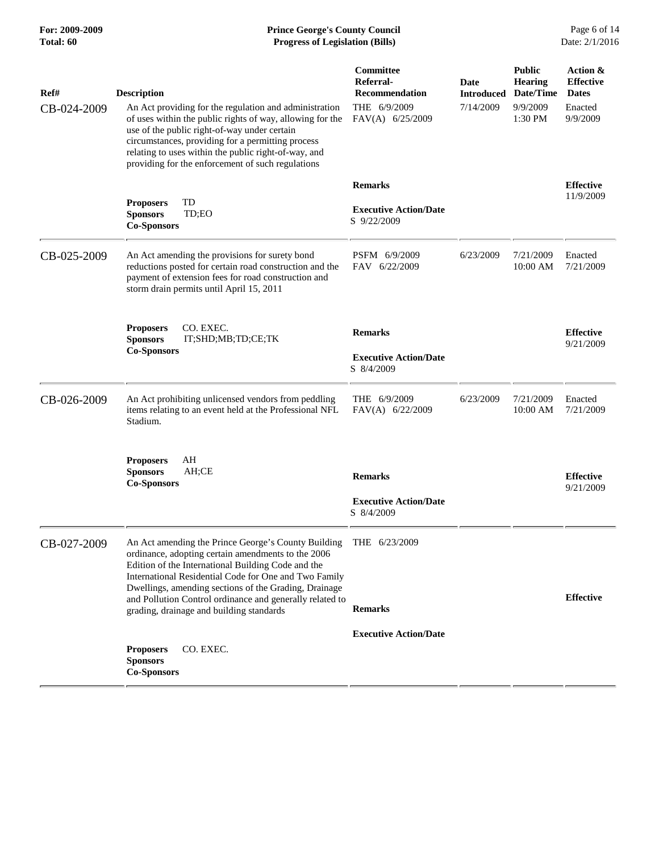| Ref#        | <b>Description</b>                                                                                                                                                                                                                                                                                                                    | Committee<br>Referral-<br><b>Recommendation</b> | <b>Date</b><br><b>Introduced</b> | <b>Public</b><br><b>Hearing</b><br>Date/Time | Action &<br><b>Effective</b><br><b>Dates</b> |
|-------------|---------------------------------------------------------------------------------------------------------------------------------------------------------------------------------------------------------------------------------------------------------------------------------------------------------------------------------------|-------------------------------------------------|----------------------------------|----------------------------------------------|----------------------------------------------|
| CB-024-2009 | An Act providing for the regulation and administration<br>of uses within the public rights of way, allowing for the<br>use of the public right-of-way under certain<br>circumstances, providing for a permitting process<br>relating to uses within the public right-of-way, and<br>providing for the enforcement of such regulations | THE 6/9/2009<br>FAV(A) 6/25/2009                | 7/14/2009                        | 9/9/2009<br>$1:30$ PM                        | Enacted<br>9/9/2009                          |
|             |                                                                                                                                                                                                                                                                                                                                       | <b>Remarks</b>                                  |                                  |                                              | <b>Effective</b>                             |
|             | TD<br><b>Proposers</b><br><b>Sponsors</b><br>TD;EO<br><b>Co-Sponsors</b>                                                                                                                                                                                                                                                              | <b>Executive Action/Date</b><br>S 9/22/2009     |                                  |                                              | 11/9/2009                                    |
| CB-025-2009 | An Act amending the provisions for surety bond<br>reductions posted for certain road construction and the<br>payment of extension fees for road construction and<br>storm drain permits until April 15, 2011                                                                                                                          | PSFM 6/9/2009<br>FAV 6/22/2009                  | 6/23/2009                        | 7/21/2009<br>$10:00$ AM                      | Enacted<br>7/21/2009                         |
|             | CO. EXEC.<br><b>Proposers</b><br>IT;SHD;MB;TD;CE;TK<br><b>Sponsors</b>                                                                                                                                                                                                                                                                | <b>Remarks</b>                                  |                                  |                                              | <b>Effective</b><br>9/21/2009                |
|             | <b>Co-Sponsors</b>                                                                                                                                                                                                                                                                                                                    | <b>Executive Action/Date</b><br>S 8/4/2009      |                                  |                                              |                                              |
| CB-026-2009 | An Act prohibiting unlicensed vendors from peddling<br>items relating to an event held at the Professional NFL<br>Stadium.                                                                                                                                                                                                            | THE 6/9/2009<br>FAV(A) 6/22/2009                | 6/23/2009                        | 7/21/2009<br>10:00 AM                        | Enacted<br>7/21/2009                         |
|             | <b>Proposers</b><br>AH<br><b>Sponsors</b><br>AH;CE<br><b>Co-Sponsors</b>                                                                                                                                                                                                                                                              | <b>Remarks</b>                                  |                                  |                                              | <b>Effective</b><br>9/21/2009                |
|             |                                                                                                                                                                                                                                                                                                                                       | <b>Executive Action/Date</b><br>S 8/4/2009      |                                  |                                              |                                              |
| CB-027-2009 | An Act amending the Prince George's County Building<br>ordinance, adopting certain amendments to the 2006<br>Edition of the International Building Code and the<br>International Residential Code for One and Two Family<br>Dwellings, amending sections of the Grading, Drainage                                                     | THE 6/23/2009                                   |                                  |                                              |                                              |
|             | and Pollution Control ordinance and generally related to<br>grading, drainage and building standards                                                                                                                                                                                                                                  | <b>Remarks</b>                                  |                                  |                                              | <b>Effective</b>                             |
|             |                                                                                                                                                                                                                                                                                                                                       | <b>Executive Action/Date</b>                    |                                  |                                              |                                              |
|             | CO. EXEC.<br><b>Proposers</b><br><b>Sponsors</b><br><b>Co-Sponsors</b>                                                                                                                                                                                                                                                                |                                                 |                                  |                                              |                                              |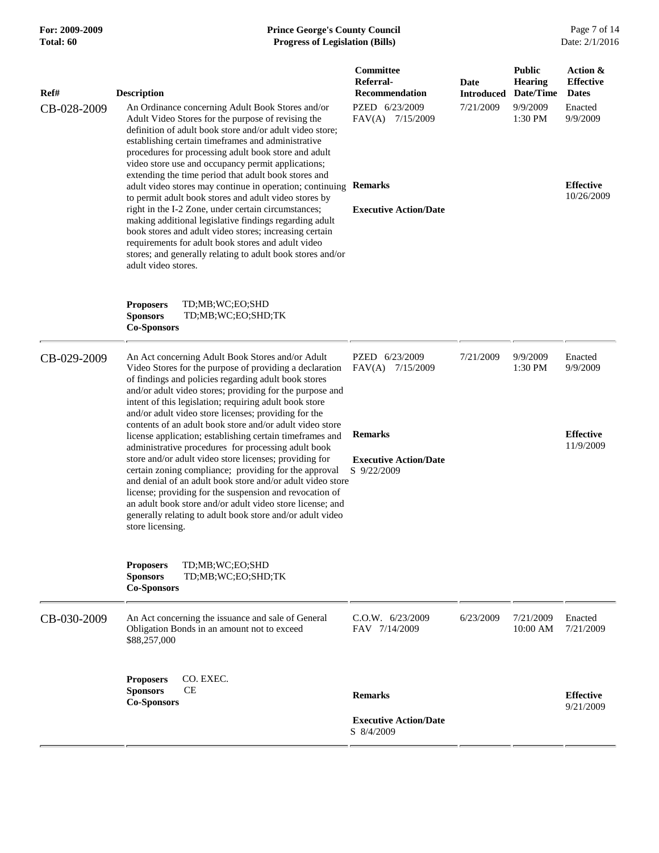## **For: 2009-2009 Prince George's County Council** Page 7 of 14<br> **Prince George's County Council** Page 7 of 14<br> **Progress of Legislation (Bills)** Date: 2/1/2016 **Total: 60 Progress of Legislation (Bills)**

| Ref#<br>CB-028-2009 | <b>Description</b><br>An Ordinance concerning Adult Book Stores and/or<br>Adult Video Stores for the purpose of revising the<br>definition of adult book store and/or adult video store;<br>establishing certain timeframes and administrative<br>procedures for processing adult book store and adult<br>video store use and occupancy permit applications;<br>extending the time period that adult book stores and<br>adult video stores may continue in operation; continuing<br>to permit adult book stores and adult video stores by<br>right in the I-2 Zone, under certain circumstances;<br>making additional legislative findings regarding adult<br>book stores and adult video stores; increasing certain<br>requirements for adult book stores and adult video<br>stores; and generally relating to adult book stores and/or<br>adult video stores.                                                            | Committee<br>Referral-<br><b>Recommendation</b><br>PZED 6/23/2009<br>FAV(A) 7/15/2009<br><b>Remarks</b><br><b>Executive Action/Date</b> | Date<br><b>Introduced</b><br>7/21/2009 | <b>Public</b><br><b>Hearing</b><br>Date/Time<br>9/9/2009<br>1:30 PM | Action &<br><b>Effective</b><br><b>Dates</b><br>Enacted<br>9/9/2009<br><b>Effective</b><br>10/26/2009 |
|---------------------|----------------------------------------------------------------------------------------------------------------------------------------------------------------------------------------------------------------------------------------------------------------------------------------------------------------------------------------------------------------------------------------------------------------------------------------------------------------------------------------------------------------------------------------------------------------------------------------------------------------------------------------------------------------------------------------------------------------------------------------------------------------------------------------------------------------------------------------------------------------------------------------------------------------------------|-----------------------------------------------------------------------------------------------------------------------------------------|----------------------------------------|---------------------------------------------------------------------|-------------------------------------------------------------------------------------------------------|
|                     | <b>Proposers</b><br>TD;MB;WC;EO;SHD<br><b>Sponsors</b><br>TD;MB;WC;EO;SHD;TK<br><b>Co-Sponsors</b>                                                                                                                                                                                                                                                                                                                                                                                                                                                                                                                                                                                                                                                                                                                                                                                                                         |                                                                                                                                         |                                        |                                                                     |                                                                                                       |
| CB-029-2009         | An Act concerning Adult Book Stores and/or Adult<br>Video Stores for the purpose of providing a declaration<br>of findings and policies regarding adult book stores<br>and/or adult video stores; providing for the purpose and<br>intent of this legislation; requiring adult book store<br>and/or adult video store licenses; providing for the<br>contents of an adult book store and/or adult video store<br>license application; establishing certain timeframes and<br>administrative procedures for processing adult book<br>store and/or adult video store licenses; providing for<br>certain zoning compliance; providing for the approval<br>and denial of an adult book store and/or adult video store<br>license; providing for the suspension and revocation of<br>an adult book store and/or adult video store license; and<br>generally relating to adult book store and/or adult video<br>store licensing. | PZED 6/23/2009<br>FAV(A) 7/15/2009<br><b>Remarks</b><br><b>Executive Action/Date</b><br>S 9/22/2009                                     | 7/21/2009                              | 9/9/2009<br>1:30 PM                                                 | Enacted<br>9/9/2009<br><b>Effective</b><br>11/9/2009                                                  |
|                     | TD;MB;WC;EO;SHD<br><b>Proposers</b><br><b>Sponsors</b><br>TD;MB;WC;EO;SHD;TK<br><b>Co-Sponsors</b>                                                                                                                                                                                                                                                                                                                                                                                                                                                                                                                                                                                                                                                                                                                                                                                                                         |                                                                                                                                         |                                        |                                                                     |                                                                                                       |
| CB-030-2009         | An Act concerning the issuance and sale of General<br>Obligation Bonds in an amount not to exceed<br>\$88,257,000                                                                                                                                                                                                                                                                                                                                                                                                                                                                                                                                                                                                                                                                                                                                                                                                          | $C.0.W.$ 6/23/2009<br>FAV 7/14/2009                                                                                                     | 6/23/2009                              | 7/21/2009<br>10:00 AM                                               | Enacted<br>7/21/2009                                                                                  |
|                     | CO. EXEC.<br><b>Proposers</b><br><b>CE</b><br><b>Sponsors</b><br><b>Co-Sponsors</b>                                                                                                                                                                                                                                                                                                                                                                                                                                                                                                                                                                                                                                                                                                                                                                                                                                        | <b>Remarks</b><br><b>Executive Action/Date</b>                                                                                          |                                        |                                                                     | <b>Effective</b><br>9/21/2009                                                                         |
|                     |                                                                                                                                                                                                                                                                                                                                                                                                                                                                                                                                                                                                                                                                                                                                                                                                                                                                                                                            | S 8/4/2009                                                                                                                              |                                        |                                                                     |                                                                                                       |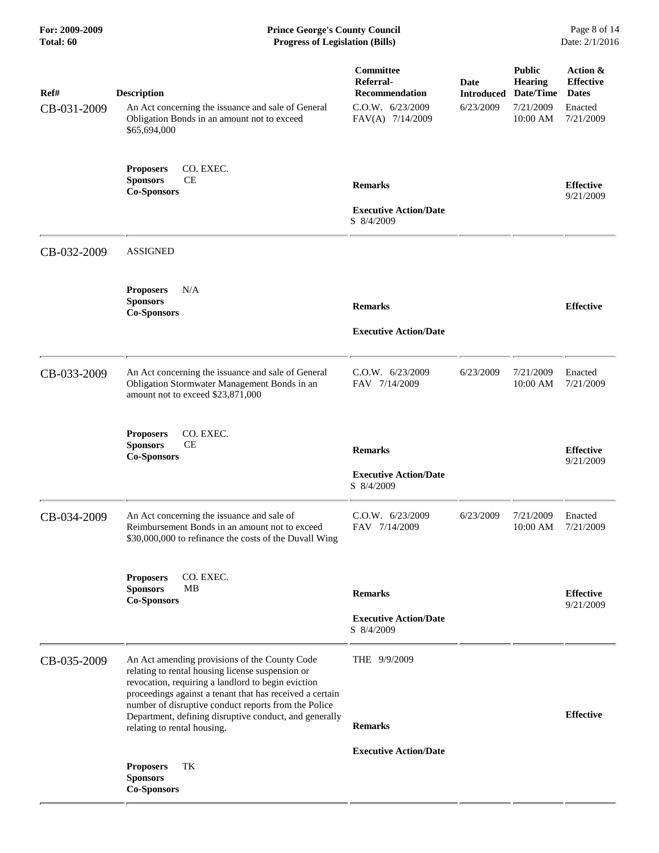| Ref#        | <b>Description</b>                                                                                                                                                                                                                                                          | Committee<br>Referral-<br><b>Recommendation</b>              | <b>Date</b><br><b>Introduced</b> | <b>Public</b><br><b>Hearing</b><br>Date/Time | Action &<br><b>Effective</b><br><b>Dates</b> |
|-------------|-----------------------------------------------------------------------------------------------------------------------------------------------------------------------------------------------------------------------------------------------------------------------------|--------------------------------------------------------------|----------------------------------|----------------------------------------------|----------------------------------------------|
| CB-031-2009 | An Act concerning the issuance and sale of General<br>Obligation Bonds in an amount not to exceed<br>\$65,694,000                                                                                                                                                           | $C.0.W.$ 6/23/2009<br>FAV(A) 7/14/2009                       | 6/23/2009                        | 7/21/2009<br>10:00 AM                        | Enacted<br>7/21/2009                         |
|             | CO. EXEC.<br><b>Proposers</b><br><b>CE</b><br><b>Sponsors</b><br><b>Co-Sponsors</b>                                                                                                                                                                                         | <b>Remarks</b>                                               |                                  |                                              | <b>Effective</b><br>9/21/2009                |
|             |                                                                                                                                                                                                                                                                             | <b>Executive Action/Date</b><br>S 8/4/2009                   |                                  |                                              |                                              |
| CB-032-2009 | <b>ASSIGNED</b>                                                                                                                                                                                                                                                             |                                                              |                                  |                                              |                                              |
|             | N/A<br><b>Proposers</b><br><b>Sponsors</b><br><b>Co-Sponsors</b>                                                                                                                                                                                                            | <b>Remarks</b>                                               |                                  |                                              | <b>Effective</b>                             |
|             |                                                                                                                                                                                                                                                                             | <b>Executive Action/Date</b>                                 |                                  |                                              |                                              |
| CB-033-2009 | An Act concerning the issuance and sale of General<br>Obligation Stormwater Management Bonds in an<br>amount not to exceed \$23,871,000                                                                                                                                     | $C.0.W.$ 6/23/2009<br>FAV 7/14/2009                          | 6/23/2009                        | 7/21/2009<br>10:00 AM                        | Enacted<br>7/21/2009                         |
|             | CO. EXEC.<br><b>Proposers</b><br><b>CE</b><br><b>Sponsors</b><br><b>Co-Sponsors</b>                                                                                                                                                                                         | <b>Remarks</b>                                               |                                  |                                              | <b>Effective</b><br>9/21/2009                |
|             |                                                                                                                                                                                                                                                                             | <b>Executive Action/Date</b><br>S 8/4/2009                   |                                  |                                              |                                              |
| CB-034-2009 | An Act concerning the issuance and sale of<br>Reimbursement Bonds in an amount not to exceed<br>\$30,000,000 to refinance the costs of the Duvall Wing                                                                                                                      | C.O.W. 6/23/2009<br>FAV 7/14/2009                            | 6/23/2009                        | 7/21/2009<br>10:00 AM                        | Enacted<br>7/21/2009                         |
|             | CO. EXEC.<br><b>Proposers</b><br><b>Sponsors</b><br>MB                                                                                                                                                                                                                      |                                                              |                                  |                                              |                                              |
|             | <b>Co-Sponsors</b>                                                                                                                                                                                                                                                          | <b>Remarks</b><br><b>Executive Action/Date</b><br>S 8/4/2009 |                                  |                                              | <b>Effective</b><br>9/21/2009                |
| CB-035-2009 | An Act amending provisions of the County Code<br>relating to rental housing license suspension or<br>revocation, requiring a landlord to begin eviction<br>proceedings against a tenant that has received a certain<br>number of disruptive conduct reports from the Police | THE 9/9/2009                                                 |                                  |                                              |                                              |
|             | Department, defining disruptive conduct, and generally<br>relating to rental housing.                                                                                                                                                                                       | <b>Remarks</b>                                               |                                  |                                              | <b>Effective</b>                             |
|             | TK<br><b>Proposers</b><br><b>Sponsors</b><br><b>Co-Sponsors</b>                                                                                                                                                                                                             | <b>Executive Action/Date</b>                                 |                                  |                                              |                                              |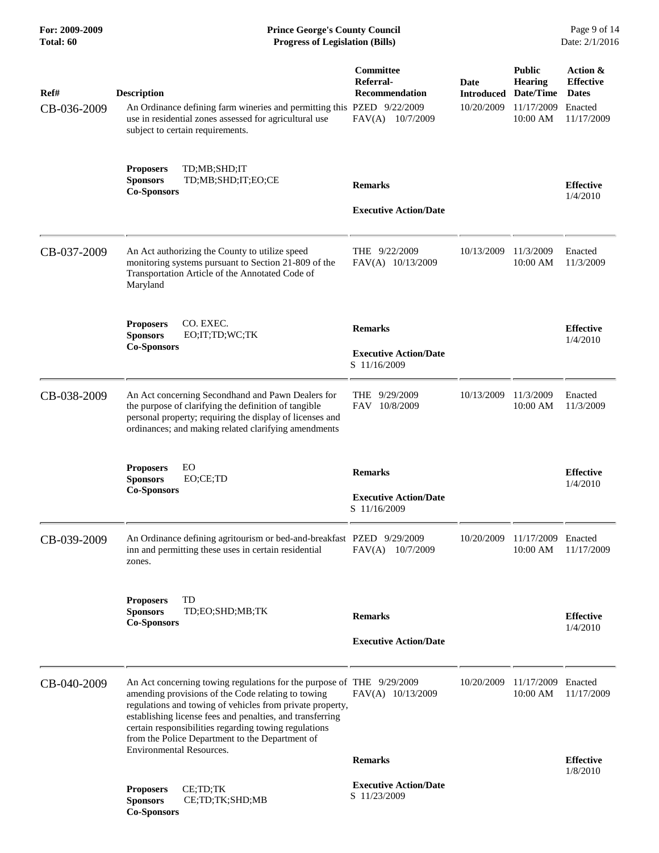| For: 2009-2009<br>Total: 60 | <b>Prince George's County Council</b><br>Date: 2/1/2016<br><b>Progress of Legislation (Bills)</b>                                                                                                                                                                                                                                                                 |                                                                            |                                         |                                                                        |                                                                       |
|-----------------------------|-------------------------------------------------------------------------------------------------------------------------------------------------------------------------------------------------------------------------------------------------------------------------------------------------------------------------------------------------------------------|----------------------------------------------------------------------------|-----------------------------------------|------------------------------------------------------------------------|-----------------------------------------------------------------------|
| Ref#<br>CB-036-2009         | <b>Description</b><br>An Ordinance defining farm wineries and permitting this PZED 9/22/2009<br>use in residential zones assessed for agricultural use<br>subject to certain requirements.                                                                                                                                                                        | <b>Committee</b><br>Referral-<br><b>Recommendation</b><br>FAV(A) 10/7/2009 | Date<br><b>Introduced</b><br>10/20/2009 | <b>Public</b><br><b>Hearing</b><br>Date/Time<br>11/17/2009<br>10:00 AM | Action &<br><b>Effective</b><br><b>Dates</b><br>Enacted<br>11/17/2009 |
|                             | TD;MB;SHD;IT<br><b>Proposers</b><br>TD;MB;SHD;IT;EO;CE<br><b>Sponsors</b><br><b>Co-Sponsors</b>                                                                                                                                                                                                                                                                   | <b>Remarks</b><br><b>Executive Action/Date</b>                             |                                         |                                                                        | <b>Effective</b><br>1/4/2010                                          |
| CB-037-2009                 | An Act authorizing the County to utilize speed<br>monitoring systems pursuant to Section 21-809 of the<br>Transportation Article of the Annotated Code of<br>Maryland                                                                                                                                                                                             | THE $9/22/2009$<br>FAV(A) 10/13/2009                                       | 10/13/2009                              | 11/3/2009<br>10:00 AM                                                  | Enacted<br>11/3/2009                                                  |
|                             | CO. EXEC.<br><b>Proposers</b><br>EO;IT;TD;WC;TK<br><b>Sponsors</b><br><b>Co-Sponsors</b>                                                                                                                                                                                                                                                                          | <b>Remarks</b><br><b>Executive Action/Date</b><br>S 11/16/2009             |                                         |                                                                        | <b>Effective</b><br>1/4/2010                                          |
| CB-038-2009                 | An Act concerning Secondhand and Pawn Dealers for<br>the purpose of clarifying the definition of tangible<br>personal property; requiring the display of licenses and<br>ordinances; and making related clarifying amendments                                                                                                                                     | 9/29/2009<br><b>THE</b><br>FAV 10/8/2009                                   | 10/13/2009                              | 11/3/2009<br>10:00 AM                                                  | Enacted<br>11/3/2009                                                  |
|                             | EO<br><b>Proposers</b><br><b>Sponsors</b><br>EO;CE;TD<br><b>Co-Sponsors</b>                                                                                                                                                                                                                                                                                       | <b>Remarks</b><br><b>Executive Action/Date</b><br>S 11/16/2009             |                                         |                                                                        | <b>Effective</b><br>1/4/2010                                          |
| CB-039-2009                 | An Ordinance defining agritourism or bed-and-breakfast PZED 9/29/2009<br>inn and permitting these uses in certain residential<br>zones.                                                                                                                                                                                                                           | FAV(A) 10/7/2009                                                           | 10/20/2009                              | 11/17/2009 Enacted<br>10:00 AM                                         | 11/17/2009                                                            |
|                             | TD<br><b>Proposers</b><br><b>Sponsors</b><br>TD;EO;SHD;MB;TK<br><b>Co-Sponsors</b>                                                                                                                                                                                                                                                                                | <b>Remarks</b><br><b>Executive Action/Date</b>                             |                                         |                                                                        | <b>Effective</b><br>1/4/2010                                          |
| CB-040-2009                 | An Act concerning towing regulations for the purpose of THE 9/29/2009<br>amending provisions of the Code relating to towing<br>regulations and towing of vehicles from private property,<br>establishing license fees and penalties, and transferring<br>certain responsibilities regarding towing regulations<br>from the Police Department to the Department of | FAV(A) 10/13/2009                                                          | 10/20/2009                              | 11/17/2009<br>10:00 AM                                                 | Enacted<br>11/17/2009                                                 |
|                             | <b>Environmental Resources.</b>                                                                                                                                                                                                                                                                                                                                   | <b>Remarks</b>                                                             |                                         |                                                                        | <b>Effective</b>                                                      |
|                             | CE;TD;TK<br><b>Proposers</b><br><b>Sponsors</b><br>CE;TD;TK;SHD;MB<br><b>Co-Sponsors</b>                                                                                                                                                                                                                                                                          | <b>Executive Action/Date</b><br>S 11/23/2009                               |                                         |                                                                        | 1/8/2010                                                              |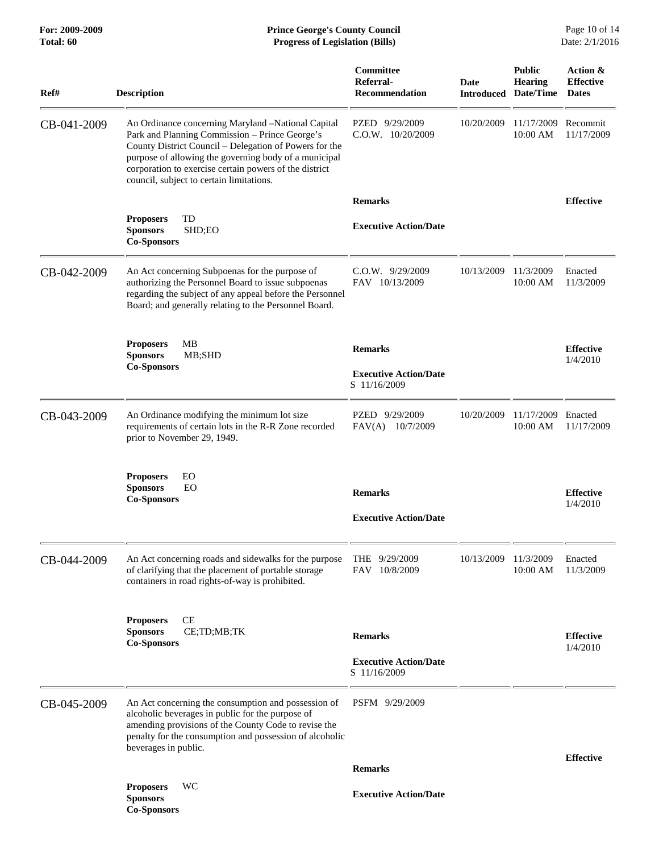| Ref#        | <b>Description</b>                                                                                                                                                                                                                                                                                                            | Committee<br>Referral-<br><b>Recommendation</b> | Date       | <b>Public</b><br>Hearing<br><b>Introduced Date/Time</b> | Action &<br><b>Effective</b><br><b>Dates</b> |
|-------------|-------------------------------------------------------------------------------------------------------------------------------------------------------------------------------------------------------------------------------------------------------------------------------------------------------------------------------|-------------------------------------------------|------------|---------------------------------------------------------|----------------------------------------------|
| CB-041-2009 | An Ordinance concerning Maryland -National Capital<br>Park and Planning Commission - Prince George's<br>County District Council – Delegation of Powers for the<br>purpose of allowing the governing body of a municipal<br>corporation to exercise certain powers of the district<br>council, subject to certain limitations. | PZED 9/29/2009<br>C.O.W. 10/20/2009             | 10/20/2009 | 11/17/2009<br>10:00 AM                                  | Recommit<br>11/17/2009                       |
|             |                                                                                                                                                                                                                                                                                                                               | <b>Remarks</b>                                  |            |                                                         | <b>Effective</b>                             |
|             | TD<br><b>Proposers</b><br><b>Sponsors</b><br>SHD;EO<br><b>Co-Sponsors</b>                                                                                                                                                                                                                                                     | <b>Executive Action/Date</b>                    |            |                                                         |                                              |
| CB-042-2009 | An Act concerning Subpoenas for the purpose of<br>authorizing the Personnel Board to issue subpoenas<br>regarding the subject of any appeal before the Personnel<br>Board; and generally relating to the Personnel Board.                                                                                                     | $C.0.W.$ 9/29/2009<br>FAV 10/13/2009            | 10/13/2009 | 11/3/2009<br>10:00 AM                                   | Enacted<br>11/3/2009                         |
|             | <b>MB</b><br><b>Proposers</b>                                                                                                                                                                                                                                                                                                 | <b>Remarks</b>                                  |            |                                                         | <b>Effective</b>                             |
|             | MB;SHD<br><b>Sponsors</b><br><b>Co-Sponsors</b>                                                                                                                                                                                                                                                                               | <b>Executive Action/Date</b><br>S 11/16/2009    |            |                                                         | 1/4/2010                                     |
| CB-043-2009 | An Ordinance modifying the minimum lot size<br>requirements of certain lots in the R-R Zone recorded<br>prior to November 29, 1949.                                                                                                                                                                                           | PZED 9/29/2009<br>FAV(A) 10/7/2009              | 10/20/2009 | 11/17/2009<br>10:00 AM                                  | Enacted<br>11/17/2009                        |
|             | <b>Proposers</b><br>EO<br>EO<br><b>Sponsors</b><br><b>Co-Sponsors</b>                                                                                                                                                                                                                                                         | <b>Remarks</b>                                  |            |                                                         | <b>Effective</b><br>1/4/2010                 |
|             |                                                                                                                                                                                                                                                                                                                               | <b>Executive Action/Date</b>                    |            |                                                         |                                              |
| CB-044-2009 | An Act concerning roads and sidewalks for the purpose<br>of clarifying that the placement of portable storage<br>containers in road rights-of-way is prohibited.                                                                                                                                                              | THE 9/29/2009<br>FAV 10/8/2009                  | 10/13/2009 | 11/3/2009<br>10:00 AM                                   | Enacted<br>11/3/2009                         |
|             | <b>CE</b><br><b>Proposers</b>                                                                                                                                                                                                                                                                                                 |                                                 |            |                                                         |                                              |
|             | <b>Sponsors</b><br>CE;TD;MB;TK<br><b>Co-Sponsors</b>                                                                                                                                                                                                                                                                          | <b>Remarks</b>                                  |            |                                                         | <b>Effective</b><br>1/4/2010                 |
|             |                                                                                                                                                                                                                                                                                                                               | <b>Executive Action/Date</b><br>S 11/16/2009    |            |                                                         |                                              |
| CB-045-2009 | An Act concerning the consumption and possession of<br>alcoholic beverages in public for the purpose of<br>amending provisions of the County Code to revise the<br>penalty for the consumption and possession of alcoholic<br>beverages in public.                                                                            | PSFM 9/29/2009                                  |            |                                                         |                                              |
|             |                                                                                                                                                                                                                                                                                                                               | <b>Remarks</b>                                  |            |                                                         | <b>Effective</b>                             |
|             | <b>Proposers</b><br>WC<br><b>Sponsors</b><br><b>Co-Sponsors</b>                                                                                                                                                                                                                                                               | <b>Executive Action/Date</b>                    |            |                                                         |                                              |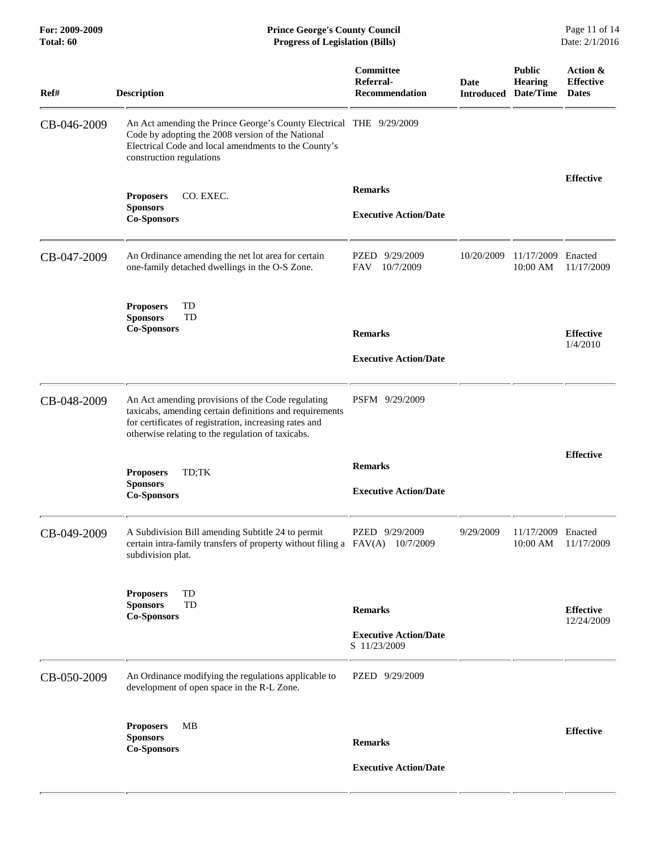| Ref#        | <b>Description</b>                                                                                                                                                                                                          | Committee<br>Referral-<br><b>Recommendation</b>                | <b>Date</b><br><b>Introduced</b> | <b>Public</b><br><b>Hearing</b><br>Date/Time | Action &<br><b>Effective</b><br><b>Dates</b> |
|-------------|-----------------------------------------------------------------------------------------------------------------------------------------------------------------------------------------------------------------------------|----------------------------------------------------------------|----------------------------------|----------------------------------------------|----------------------------------------------|
| CB-046-2009 | An Act amending the Prince George's County Electrical THE 9/29/2009<br>Code by adopting the 2008 version of the National<br>Electrical Code and local amendments to the County's<br>construction regulations                |                                                                |                                  |                                              |                                              |
|             | CO. EXEC.<br><b>Proposers</b><br><b>Sponsors</b><br><b>Co-Sponsors</b>                                                                                                                                                      | <b>Remarks</b><br><b>Executive Action/Date</b>                 |                                  |                                              | <b>Effective</b>                             |
| CB-047-2009 | An Ordinance amending the net lot area for certain<br>one-family detached dwellings in the O-S Zone.                                                                                                                        | 9/29/2009<br>PZED<br>10/7/2009<br>FAV                          | 10/20/2009                       | 11/17/2009<br>10:00 AM                       | Enacted<br>11/17/2009                        |
|             | TD<br><b>Proposers</b><br><b>Sponsors</b><br>TD<br><b>Co-Sponsors</b>                                                                                                                                                       | <b>Remarks</b><br><b>Executive Action/Date</b>                 |                                  |                                              | <b>Effective</b><br>1/4/2010                 |
| CB-048-2009 | An Act amending provisions of the Code regulating<br>taxicabs, amending certain definitions and requirements<br>for certificates of registration, increasing rates and<br>otherwise relating to the regulation of taxicabs. | PSFM 9/29/2009                                                 |                                  |                                              |                                              |
|             | <b>Proposers</b><br>TD;TK<br><b>Sponsors</b><br><b>Co-Sponsors</b>                                                                                                                                                          | <b>Remarks</b><br><b>Executive Action/Date</b>                 |                                  |                                              | <b>Effective</b>                             |
| CB-049-2009 | A Subdivision Bill amending Subtitle 24 to permit<br>certain intra-family transfers of property without filing a $FAV(A)$ 10/7/2009<br>subdivision plat.                                                                    | PZED 9/29/2009                                                 | 9/29/2009                        | 11/17/2009 Enacted<br>10:00 AM               | 11/17/2009                                   |
|             | TD<br><b>Proposers</b><br><b>Sponsors</b><br>TD<br><b>Co-Sponsors</b>                                                                                                                                                       | <b>Remarks</b><br><b>Executive Action/Date</b><br>S 11/23/2009 |                                  |                                              | <b>Effective</b><br>12/24/2009               |
| CB-050-2009 | An Ordinance modifying the regulations applicable to<br>development of open space in the R-L Zone.                                                                                                                          | PZED 9/29/2009                                                 |                                  |                                              |                                              |
|             | MВ<br><b>Proposers</b><br><b>Sponsors</b><br><b>Co-Sponsors</b>                                                                                                                                                             | <b>Remarks</b><br><b>Executive Action/Date</b>                 |                                  |                                              | <b>Effective</b>                             |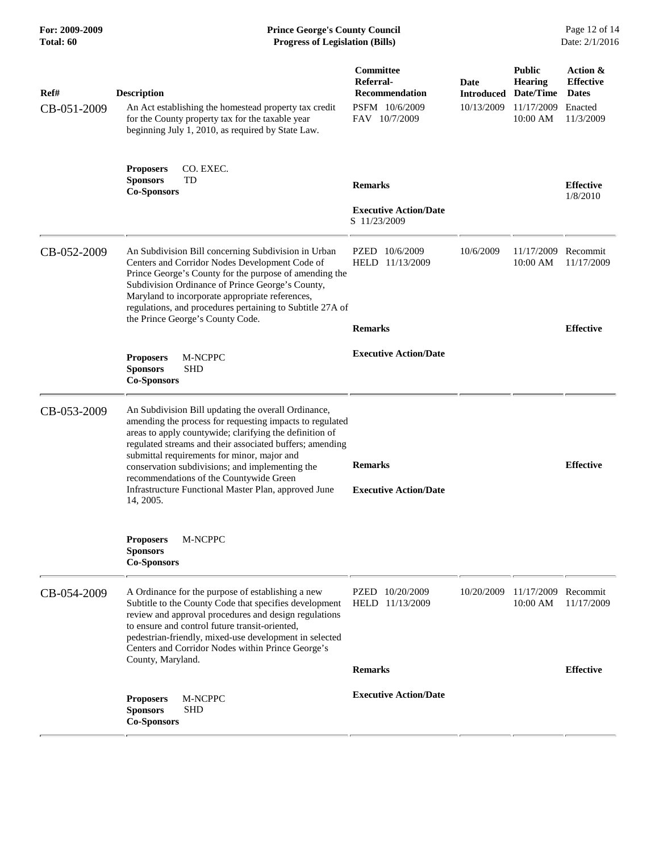| Ref#<br>CB-051-2009 | <b>Description</b><br>An Act establishing the homestead property tax credit<br>for the County property tax for the taxable year<br>beginning July 1, 2010, as required by State Law.                                                                                                                                                                                                                                                                     | Committee<br>Referral-<br><b>Recommendation</b><br>PSFM 10/6/2009<br>FAV 10/7/2009 | Date<br><b>Introduced</b><br>10/13/2009 | <b>Public</b><br><b>Hearing</b><br>Date/Time<br>11/17/2009<br>10:00 AM | Action &<br><b>Effective</b><br><b>Dates</b><br>Enacted<br>11/3/2009 |
|---------------------|----------------------------------------------------------------------------------------------------------------------------------------------------------------------------------------------------------------------------------------------------------------------------------------------------------------------------------------------------------------------------------------------------------------------------------------------------------|------------------------------------------------------------------------------------|-----------------------------------------|------------------------------------------------------------------------|----------------------------------------------------------------------|
|                     | <b>Proposers</b><br>CO. EXEC.<br><b>Sponsors</b><br>TD<br><b>Co-Sponsors</b>                                                                                                                                                                                                                                                                                                                                                                             | <b>Remarks</b><br><b>Executive Action/Date</b><br>S 11/23/2009                     |                                         |                                                                        | <b>Effective</b><br>1/8/2010                                         |
| CB-052-2009         | An Subdivision Bill concerning Subdivision in Urban<br>Centers and Corridor Nodes Development Code of<br>Prince George's County for the purpose of amending the<br>Subdivision Ordinance of Prince George's County,<br>Maryland to incorporate appropriate references,<br>regulations, and procedures pertaining to Subtitle 27A of<br>the Prince George's County Code.                                                                                  | PZED 10/6/2009<br>HELD 11/13/2009<br><b>Remarks</b>                                | 10/6/2009                               | 11/17/2009<br>10:00 AM                                                 | Recommit<br>11/17/2009<br><b>Effective</b>                           |
|                     | M-NCPPC<br><b>Proposers</b><br><b>Sponsors</b><br><b>SHD</b><br><b>Co-Sponsors</b>                                                                                                                                                                                                                                                                                                                                                                       | <b>Executive Action/Date</b>                                                       |                                         |                                                                        |                                                                      |
| CB-053-2009         | An Subdivision Bill updating the overall Ordinance,<br>amending the process for requesting impacts to regulated<br>areas to apply countywide; clarifying the definition of<br>regulated streams and their associated buffers; amending<br>submittal requirements for minor, major and<br>conservation subdivisions; and implementing the<br>recommendations of the Countywide Green<br>Infrastructure Functional Master Plan, approved June<br>14, 2005. | <b>Remarks</b><br><b>Executive Action/Date</b>                                     |                                         |                                                                        | <b>Effective</b>                                                     |
|                     | M-NCPPC<br><b>Proposers</b><br><b>Sponsors</b><br><b>Co-Sponsors</b>                                                                                                                                                                                                                                                                                                                                                                                     |                                                                                    |                                         |                                                                        |                                                                      |
| CB-054-2009         | A Ordinance for the purpose of establishing a new<br>Subtitle to the County Code that specifies development<br>review and approval procedures and design regulations<br>to ensure and control future transit-oriented,<br>pedestrian-friendly, mixed-use development in selected<br>Centers and Corridor Nodes within Prince George's<br>County, Maryland.                                                                                               | PZED<br>10/20/2009<br>HELD 11/13/2009                                              | 10/20/2009                              | 11/17/2009<br>10:00 AM                                                 | Recommit<br>11/17/2009                                               |
|                     | M-NCPPC<br><b>Proposers</b><br><b>SHD</b><br><b>Sponsors</b><br><b>Co-Sponsors</b>                                                                                                                                                                                                                                                                                                                                                                       | <b>Remarks</b><br><b>Executive Action/Date</b>                                     |                                         |                                                                        | <b>Effective</b>                                                     |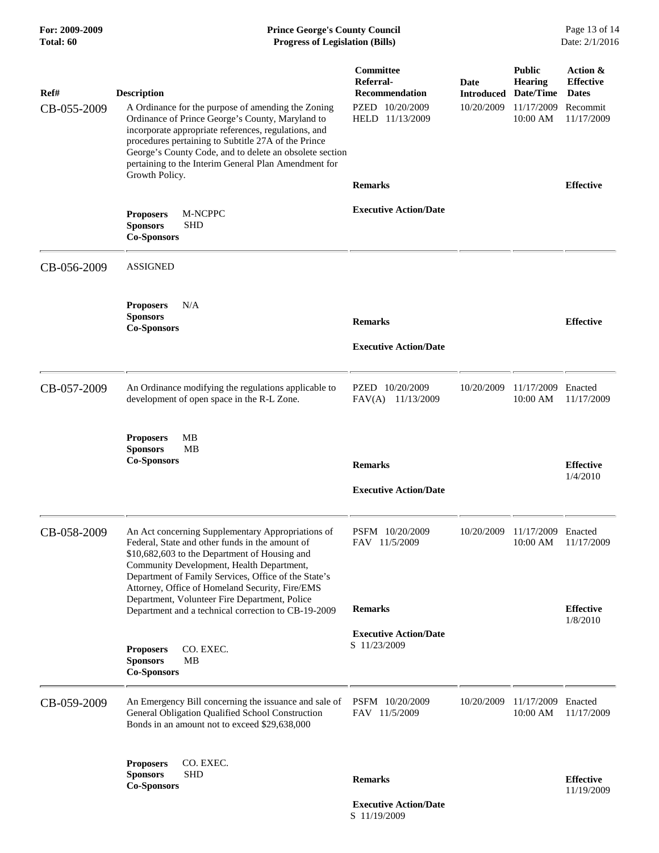| For: 2009-2009<br><b>Total: 60</b> | <b>Prince George's County Council</b><br><b>Progress of Legislation (Bills)</b>                                                                                                                                                                                                                                                                                |                                                                                       |                                         |                                                                        | Page 13 of 14<br>Date: 2/1/2016                                        |  |
|------------------------------------|----------------------------------------------------------------------------------------------------------------------------------------------------------------------------------------------------------------------------------------------------------------------------------------------------------------------------------------------------------------|---------------------------------------------------------------------------------------|-----------------------------------------|------------------------------------------------------------------------|------------------------------------------------------------------------|--|
| Ref#<br>CB-055-2009                | <b>Description</b><br>A Ordinance for the purpose of amending the Zoning<br>Ordinance of Prince George's County, Maryland to<br>incorporate appropriate references, regulations, and<br>procedures pertaining to Subtitle 27A of the Prince<br>George's County Code, and to delete an obsolete section<br>pertaining to the Interim General Plan Amendment for | Committee<br>Referral-<br><b>Recommendation</b><br>PZED 10/20/2009<br>HELD 11/13/2009 | Date<br><b>Introduced</b><br>10/20/2009 | <b>Public</b><br><b>Hearing</b><br>Date/Time<br>11/17/2009<br>10:00 AM | Action &<br><b>Effective</b><br><b>Dates</b><br>Recommit<br>11/17/2009 |  |
|                                    | Growth Policy.                                                                                                                                                                                                                                                                                                                                                 | <b>Remarks</b>                                                                        |                                         |                                                                        | <b>Effective</b>                                                       |  |
|                                    | <b>Proposers</b><br>M-NCPPC<br><b>SHD</b><br><b>Sponsors</b><br><b>Co-Sponsors</b>                                                                                                                                                                                                                                                                             | <b>Executive Action/Date</b>                                                          |                                         |                                                                        |                                                                        |  |
| CB-056-2009                        | <b>ASSIGNED</b>                                                                                                                                                                                                                                                                                                                                                |                                                                                       |                                         |                                                                        |                                                                        |  |
|                                    | <b>Proposers</b><br>N/A<br><b>Sponsors</b><br><b>Co-Sponsors</b>                                                                                                                                                                                                                                                                                               | <b>Remarks</b><br><b>Executive Action/Date</b>                                        |                                         |                                                                        | <b>Effective</b>                                                       |  |
|                                    |                                                                                                                                                                                                                                                                                                                                                                |                                                                                       |                                         |                                                                        |                                                                        |  |
| CB-057-2009                        | An Ordinance modifying the regulations applicable to<br>development of open space in the R-L Zone.                                                                                                                                                                                                                                                             | PZED 10/20/2009<br>FAV(A) 11/13/2009                                                  | 10/20/2009                              | 11/17/2009<br>10:00 AM                                                 | Enacted<br>11/17/2009                                                  |  |
|                                    | <b>Proposers</b><br>MВ<br><b>Sponsors</b><br>MВ<br><b>Co-Sponsors</b>                                                                                                                                                                                                                                                                                          | <b>Remarks</b>                                                                        |                                         |                                                                        | <b>Effective</b>                                                       |  |
|                                    |                                                                                                                                                                                                                                                                                                                                                                | <b>Executive Action/Date</b>                                                          |                                         |                                                                        | 1/4/2010                                                               |  |
| CB-058-2009                        | An Act concerning Supplementary Appropriations of<br>Federal, State and other funds in the amount of<br>\$10,682,603 to the Department of Housing and<br>Community Development, Health Department,<br>Department of Family Services, Office of the State's<br>Attorney, Office of Homeland Security, Fire/EMS                                                  | PSFM 10/20/2009<br>FAV 11/5/2009                                                      | 10/20/2009                              | 11/17/2009<br>10:00 AM                                                 | Enacted<br>11/17/2009                                                  |  |
|                                    | Department, Volunteer Fire Department, Police<br>Department and a technical correction to CB-19-2009                                                                                                                                                                                                                                                           | <b>Remarks</b>                                                                        |                                         |                                                                        | <b>Effective</b>                                                       |  |
|                                    | CO. EXEC.<br><b>Proposers</b><br><b>Sponsors</b><br>MB<br><b>Co-Sponsors</b>                                                                                                                                                                                                                                                                                   | <b>Executive Action/Date</b><br>S 11/23/2009                                          |                                         |                                                                        | 1/8/2010                                                               |  |
| CB-059-2009                        | An Emergency Bill concerning the issuance and sale of<br>General Obligation Qualified School Construction<br>Bonds in an amount not to exceed \$29,638,000                                                                                                                                                                                                     | PSFM 10/20/2009<br>FAV 11/5/2009                                                      | 10/20/2009                              | 11/17/2009<br>10:00 AM                                                 | Enacted<br>11/17/2009                                                  |  |
|                                    | CO. EXEC.<br><b>Proposers</b><br><b>SHD</b><br><b>Sponsors</b><br><b>Co-Sponsors</b>                                                                                                                                                                                                                                                                           | <b>Remarks</b>                                                                        |                                         |                                                                        | <b>Effective</b><br>11/19/2009                                         |  |

 **Executive Action/Date** S 11/19/2009